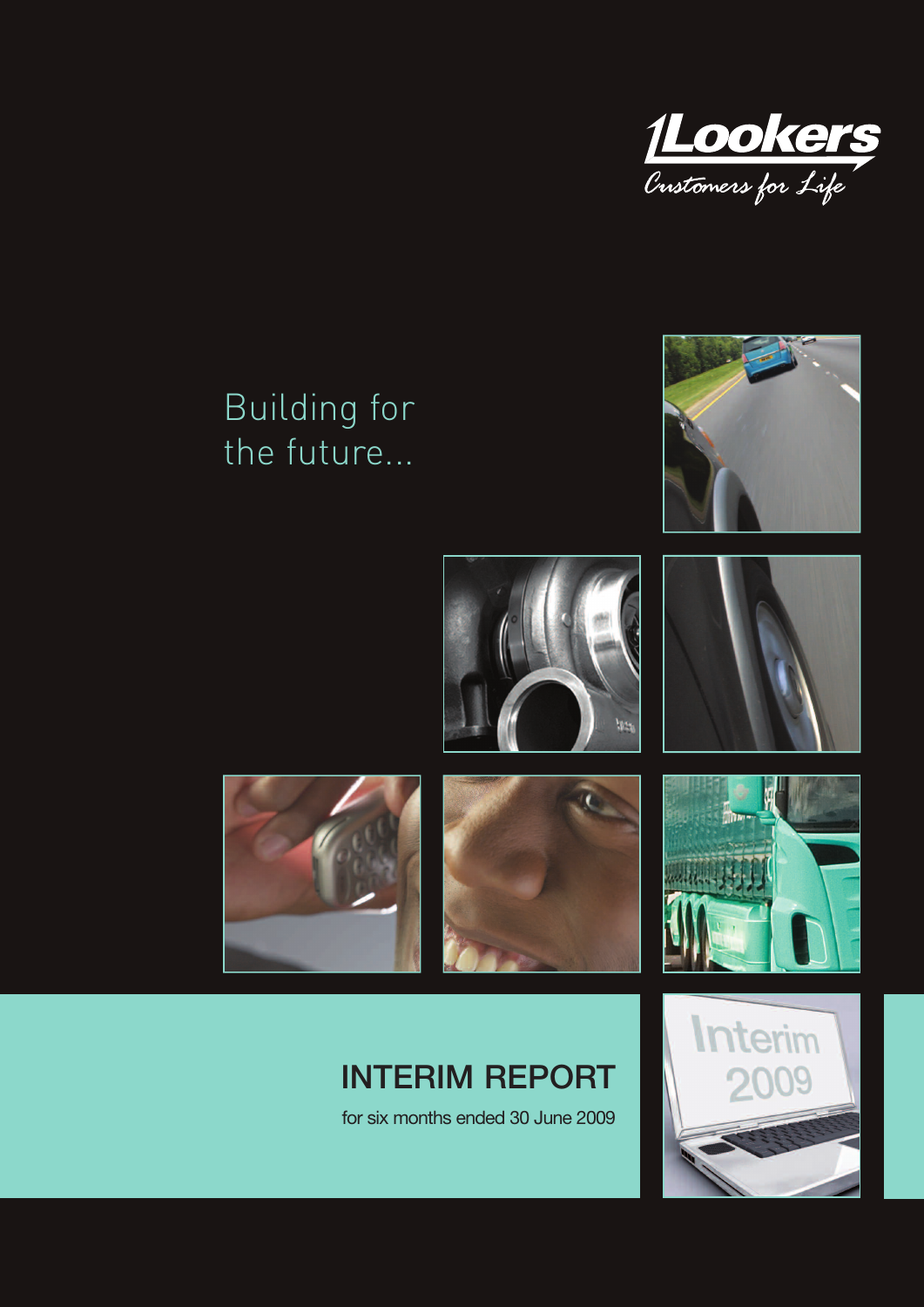

# Building for the future...





## **INTERIM REPORT**

for six months ended 30 June 2009

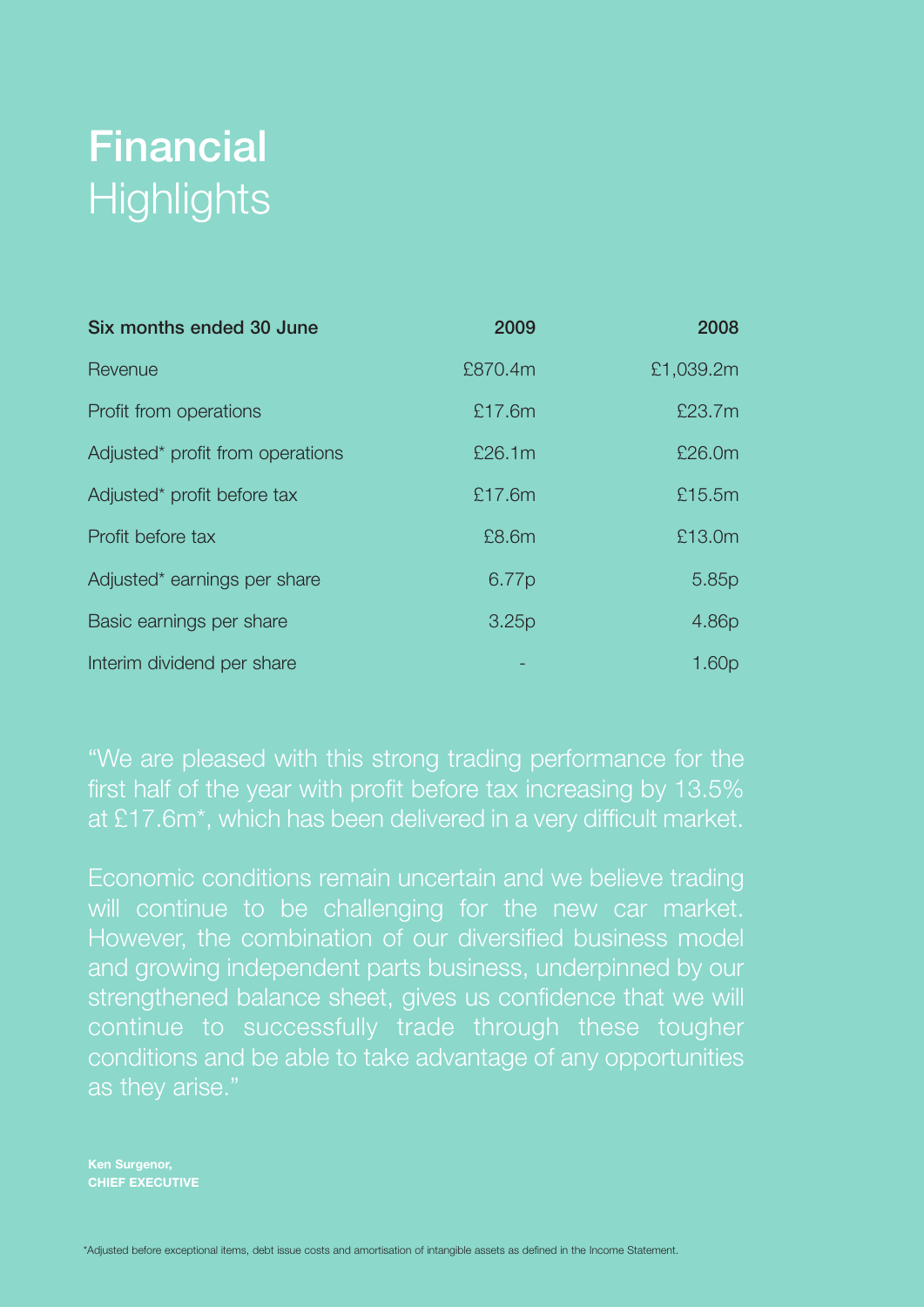# **Financial Highlights**

| Six months ended 30 June         | 2009    | 2008              |
|----------------------------------|---------|-------------------|
| Revenue                          | £870.4m | £1,039.2m         |
| Profit from operations           | £17.6m  | £23.7m            |
| Adjusted* profit from operations | £26.1m  | £26.0m            |
| Adjusted* profit before tax      | £17.6m  | £15.5m            |
| Profit before tax                | £8.6m   | £13.0m            |
| Adjusted* earnings per share     | 6.77p   | 5.85p             |
| Basic earnings per share         | 3.25p   | 4.86p             |
| Interim dividend per share       |         | 1.60 <sub>p</sub> |

"We are pleased with this strong trading performance for the first half of the year with profit before tax increasing by 13.5% at £17.6m\*, which has been delivered in a very difficult market.

Economic conditions remain uncertain and we believe trading will continue to be challenging for the new car market. However, the combination of our diversified business model and growing independent parts business, underpinned by our strengthened balance sheet, gives us confidence that we will continue to successfully trade through these tougher conditions and be able to take advantage of any opportunities as they arise."

**Ken Surgenor, CHIEF EXECUTIVE**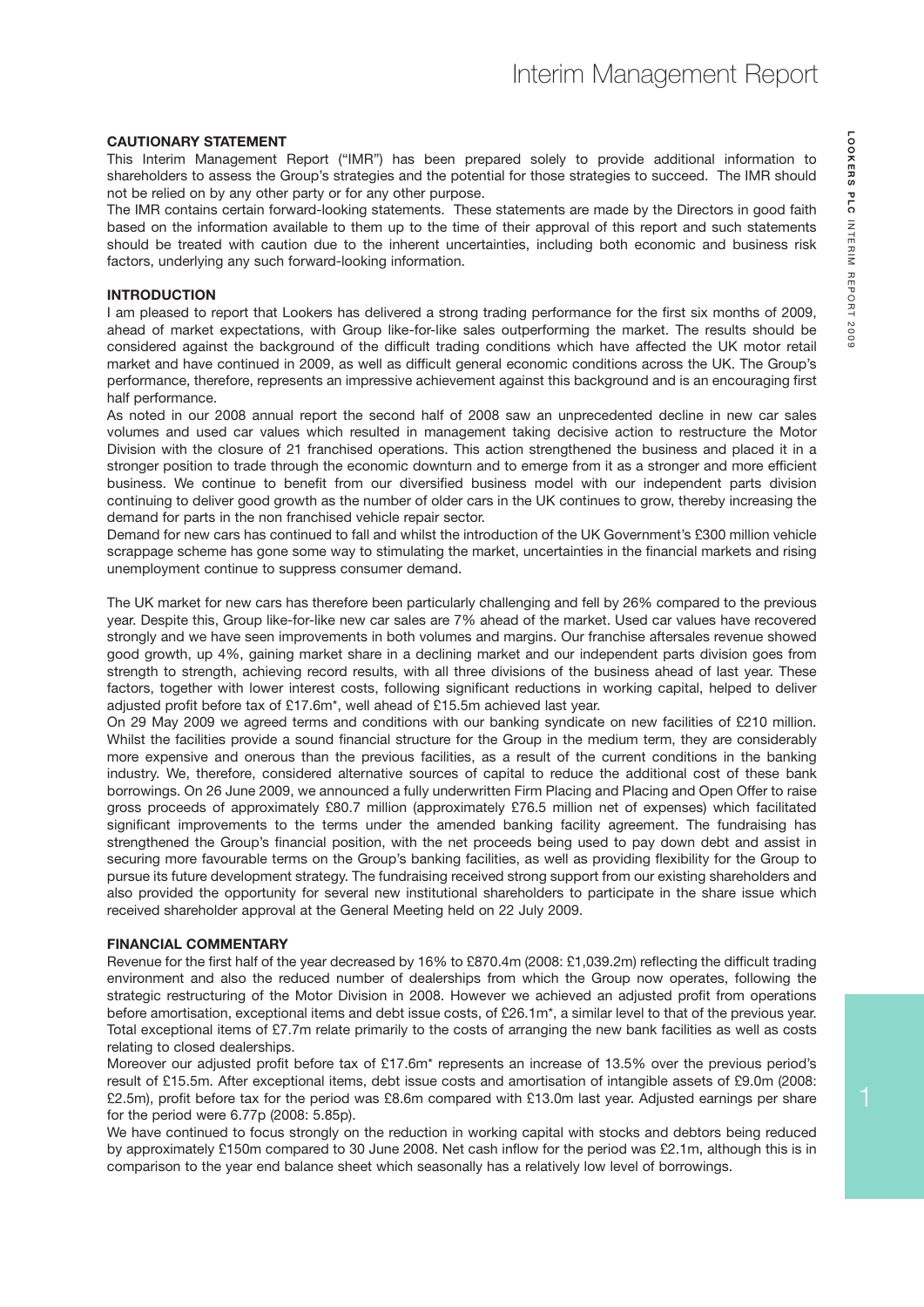#### **CAUTIONARY STATEMENT**

This Interim Management Report ("IMR") has been prepared solely to provide additional information to shareholders to assess the Group's strategies and the potential for those strategies to succeed. The IMR should not be relied on by any other party or for any other purpose.

The IMR contains certain forward-looking statements. These statements are made by the Directors in good faith based on the information available to them up to the time of their approval of this report and such statements should be treated with caution due to the inherent uncertainties, including both economic and business risk factors, underlying any such forward-looking information.

#### **INTRODUCTION**

I am pleased to report that Lookers has delivered a strong trading performance for the first six months of 2009, ahead of market expectations, with Group like-for-like sales outperforming the market. The results should be considered against the background of the difficult trading conditions which have affected the UK motor retail market and have continued in 2009, as well as difficult general economic conditions across the UK. The Group's performance, therefore, represents an impressive achievement against this background and is an encouraging first half performance.

As noted in our 2008 annual report the second half of 2008 saw an unprecedented decline in new car sales volumes and used car values which resulted in management taking decisive action to restructure the Motor Division with the closure of 21 franchised operations. This action strengthened the business and placed it in a stronger position to trade through the economic downturn and to emerge from it as a stronger and more efficient business. We continue to benefit from our diversified business model with our independent parts division continuing to deliver good growth as the number of older cars in the UK continues to grow, thereby increasing the demand for parts in the non franchised vehicle repair sector.

Demand for new cars has continued to fall and whilst the introduction of the UK Government's £300 million vehicle scrappage scheme has gone some way to stimulating the market, uncertainties in the financial markets and rising unemployment continue to suppress consumer demand.

The UK market for new cars has therefore been particularly challenging and fell by 26% compared to the previous year. Despite this, Group like-for-like new car sales are 7% ahead of the market. Used car values have recovered strongly and we have seen improvements in both volumes and margins. Our franchise aftersales revenue showed good growth, up 4%, gaining market share in a declining market and our independent parts division goes from strength to strength, achieving record results, with all three divisions of the business ahead of last year. These factors, together with lower interest costs, following significant reductions in working capital, helped to deliver adjusted profit before tax of £17.6m\*, well ahead of £15.5m achieved last year.

On 29 May 2009 we agreed terms and conditions with our banking syndicate on new facilities of £210 million. Whilst the facilities provide a sound financial structure for the Group in the medium term, they are considerably more expensive and onerous than the previous facilities, as a result of the current conditions in the banking industry. We, therefore, considered alternative sources of capital to reduce the additional cost of these bank borrowings. On 26 June 2009, we announced a fully underwritten Firm Placing and Placing and Open Offer to raise gross proceeds of approximately £80.7 million (approximately £76.5 million net of expenses) which facilitated significant improvements to the terms under the amended banking facility agreement. The fundraising has strengthened the Group's financial position, with the net proceeds being used to pay down debt and assist in securing more favourable terms on the Group's banking facilities, as well as providing flexibility for the Group to pursue its future development strategy. The fundraising received strong support from our existing shareholders and also provided the opportunity for several new institutional shareholders to participate in the share issue which received shareholder approval at the General Meeting held on 22 July 2009.

#### **FINANCIAL COMMENTARY**

Revenue for the first half of the year decreased by 16% to £870.4m (2008: £1,039.2m) reflecting the difficult trading environment and also the reduced number of dealerships from which the Group now operates, following the strategic restructuring of the Motor Division in 2008. However we achieved an adjusted profit from operations before amortisation, exceptional items and debt issue costs, of £26.1m\*, a similar level to that of the previous year. Total exceptional items of £7.7m relate primarily to the costs of arranging the new bank facilities as well as costs relating to closed dealerships.

Moreover our adjusted profit before tax of £17.6m\* represents an increase of 13.5% over the previous period's result of £15.5m. After exceptional items, debt issue costs and amortisation of intangible assets of £9.0m (2008: £2.5m), profit before tax for the period was £8.6m compared with £13.0m last year. Adjusted earnings per share for the period were 6.77p (2008: 5.85p).

We have continued to focus strongly on the reduction in working capital with stocks and debtors being reduced by approximately £150m compared to 30 June 2008. Net cash inflow for the period was £2.1m, although this is in comparison to the year end balance sheet which seasonally has a relatively low level of borrowings.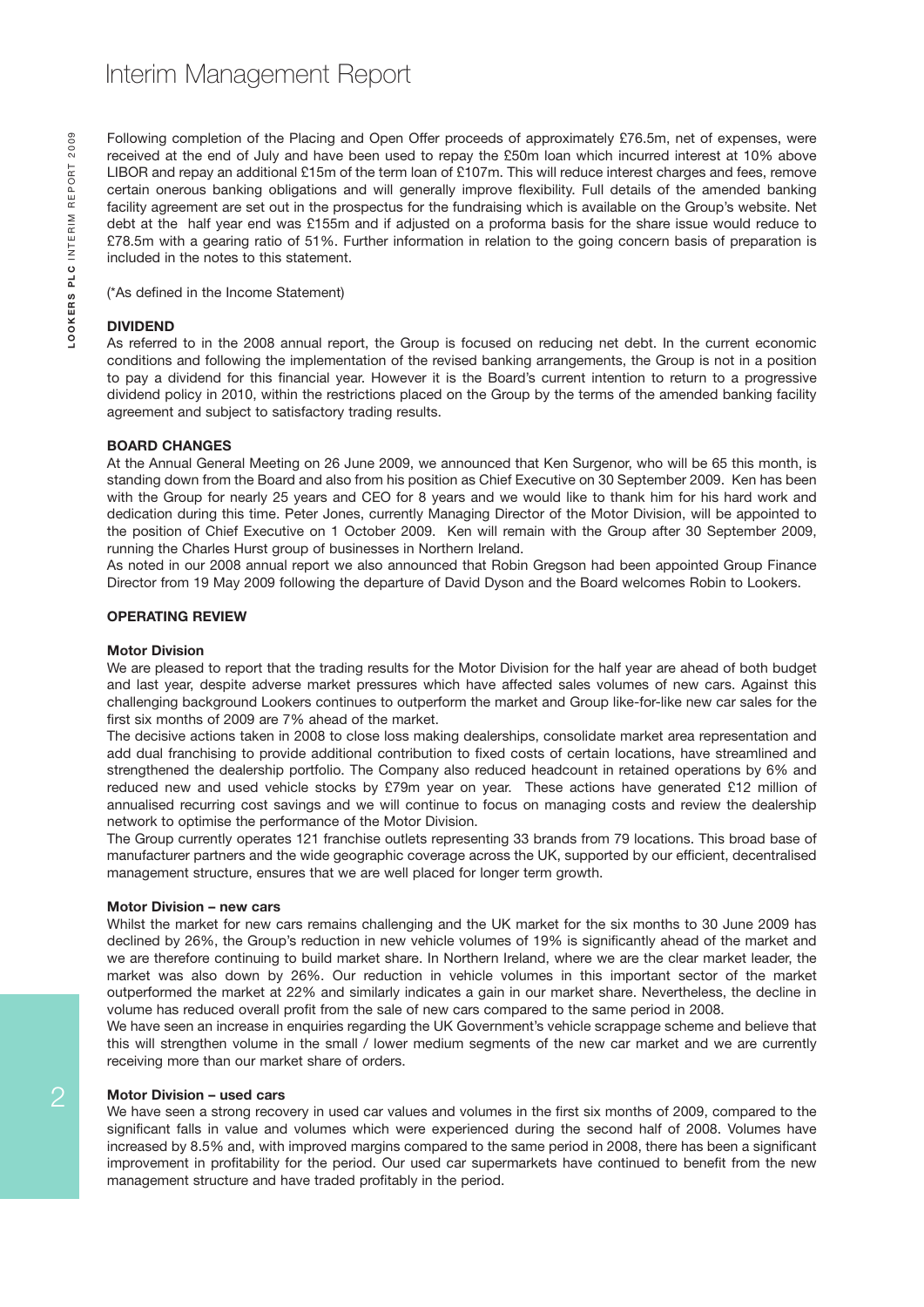Following completion of the Placing and Open Offer proceeds of approximately £76.5m, net of expenses, were received at the end of July and have been used to repay the £50m loan which incurred interest at 10% above LIBOR and repay an additional £15m of the term loan of £107m. This will reduce interest charges and fees, remove certain onerous banking obligations and will generally improve flexibility. Full details of the amended banking facility agreement are set out in the prospectus for the fundraising which is available on the Group's website. Net debt at the half year end was £155m and if adjusted on a proforma basis for the share issue would reduce to £78.5m with a gearing ratio of 51%. Further information in relation to the going concern basis of preparation is included in the notes to this statement.

(\*As defined in the Income Statement)

#### **DIVIDEND**

As referred to in the 2008 annual report, the Group is focused on reducing net debt. In the current economic conditions and following the implementation of the revised banking arrangements, the Group is not in a position to pay a dividend for this financial year. However it is the Board's current intention to return to a progressive dividend policy in 2010, within the restrictions placed on the Group by the terms of the amended banking facility agreement and subject to satisfactory trading results.

#### **BOARD CHANGES**

At the Annual General Meeting on 26 June 2009, we announced that Ken Surgenor, who will be 65 this month, is standing down from the Board and also from his position as Chief Executive on 30 September 2009. Ken has been with the Group for nearly 25 years and CEO for 8 years and we would like to thank him for his hard work and dedication during this time. Peter Jones, currently Managing Director of the Motor Division, will be appointed to the position of Chief Executive on 1 October 2009. Ken will remain with the Group after 30 September 2009, running the Charles Hurst group of businesses in Northern Ireland.

As noted in our 2008 annual report we also announced that Robin Gregson had been appointed Group Finance Director from 19 May 2009 following the departure of David Dyson and the Board welcomes Robin to Lookers.

#### **OPERATING REVIEW**

#### **Motor Division**

We are pleased to report that the trading results for the Motor Division for the half year are ahead of both budget and last year, despite adverse market pressures which have affected sales volumes of new cars. Against this challenging background Lookers continues to outperform the market and Group like-for-like new car sales for the first six months of 2009 are 7% ahead of the market.

The decisive actions taken in 2008 to close loss making dealerships, consolidate market area representation and add dual franchising to provide additional contribution to fixed costs of certain locations, have streamlined and strengthened the dealership portfolio. The Company also reduced headcount in retained operations by 6% and reduced new and used vehicle stocks by £79m year on year. These actions have generated £12 million of annualised recurring cost savings and we will continue to focus on managing costs and review the dealership network to optimise the performance of the Motor Division.

The Group currently operates 121 franchise outlets representing 33 brands from 79 locations. This broad base of manufacturer partners and the wide geographic coverage across the UK, supported by our efficient, decentralised management structure, ensures that we are well placed for longer term growth.

#### **Motor Division – new cars**

Whilst the market for new cars remains challenging and the UK market for the six months to 30 June 2009 has declined by 26%, the Group's reduction in new vehicle volumes of 19% is significantly ahead of the market and we are therefore continuing to build market share. In Northern Ireland, where we are the clear market leader, the market was also down by 26%. Our reduction in vehicle volumes in this important sector of the market outperformed the market at 22% and similarly indicates a gain in our market share. Nevertheless, the decline in volume has reduced overall profit from the sale of new cars compared to the same period in 2008.

We have seen an increase in enquiries regarding the UK Government's vehicle scrappage scheme and believe that this will strengthen volume in the small / lower medium segments of the new car market and we are currently receiving more than our market share of orders.

#### **Motor Division – used cars**

We have seen a strong recovery in used car values and volumes in the first six months of 2009, compared to the significant falls in value and volumes which were experienced during the second half of 2008. Volumes have increased by 8.5% and, with improved margins compared to the same period in 2008, there has been a significant improvement in profitability for the period. Our used car supermarkets have continued to benefit from the new management structure and have traded profitably in the period.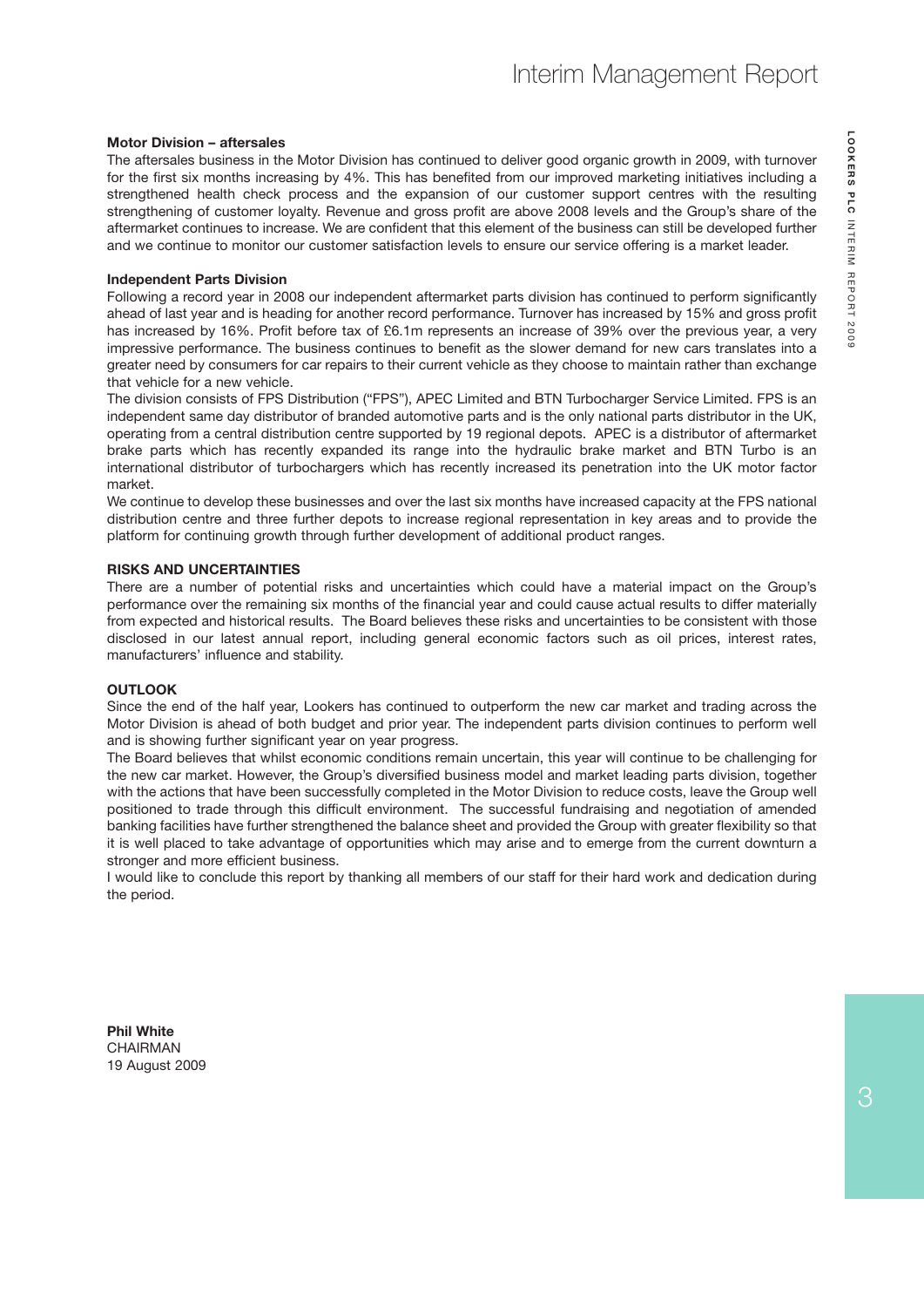#### **Motor Division – aftersales**

The aftersales business in the Motor Division has continued to deliver good organic growth in 2009, with turnover for the first six months increasing by 4%. This has benefited from our improved marketing initiatives including a strengthened health check process and the expansion of our customer support centres with the resulting strengthening of customer loyalty. Revenue and gross profit are above 2008 levels and the Group's share of the aftermarket continues to increase. We are confident that this element of the business can still be developed further and we continue to monitor our customer satisfaction levels to ensure our service offering is a market leader.

#### **Independent Parts Division**

Following a record year in 2008 our independent aftermarket parts division has continued to perform significantly ahead of last year and is heading for another record performance. Turnover has increased by 15% and gross profit has increased by 16%. Profit before tax of £6.1m represents an increase of 39% over the previous year, a very impressive performance. The business continues to benefit as the slower demand for new cars translates into a greater need by consumers for car repairs to their current vehicle as they choose to maintain rather than exchange that vehicle for a new vehicle.

The division consists of FPS Distribution ("FPS"), APEC Limited and BTN Turbocharger Service Limited. FPS is an independent same day distributor of branded automotive parts and is the only national parts distributor in the UK, operating from a central distribution centre supported by 19 regional depots. APEC is a distributor of aftermarket brake parts which has recently expanded its range into the hydraulic brake market and BTN Turbo is an international distributor of turbochargers which has recently increased its penetration into the UK motor factor market.

We continue to develop these businesses and over the last six months have increased capacity at the FPS national distribution centre and three further depots to increase regional representation in key areas and to provide the platform for continuing growth through further development of additional product ranges.

#### **RISKS AND UNCERTAINTIES**

There are a number of potential risks and uncertainties which could have a material impact on the Group's performance over the remaining six months of the financial year and could cause actual results to differ materially from expected and historical results. The Board believes these risks and uncertainties to be consistent with those disclosed in our latest annual report, including general economic factors such as oil prices, interest rates, manufacturers' influence and stability.

#### **OUTLOOK**

Since the end of the half year, Lookers has continued to outperform the new car market and trading across the Motor Division is ahead of both budget and prior year. The independent parts division continues to perform well and is showing further significant year on year progress.

The Board believes that whilst economic conditions remain uncertain, this year will continue to be challenging for the new car market. However, the Group's diversified business model and market leading parts division, together with the actions that have been successfully completed in the Motor Division to reduce costs, leave the Group well positioned to trade through this difficult environment. The successful fundraising and negotiation of amended banking facilities have further strengthened the balance sheet and provided the Group with greater flexibility so that it is well placed to take advantage of opportunities which may arise and to emerge from the current downturn a stronger and more efficient business.

I would like to conclude this report by thanking all members of our staff for their hard work and dedication during the period.

**Phil White** CHAIRMAN 19 August 2009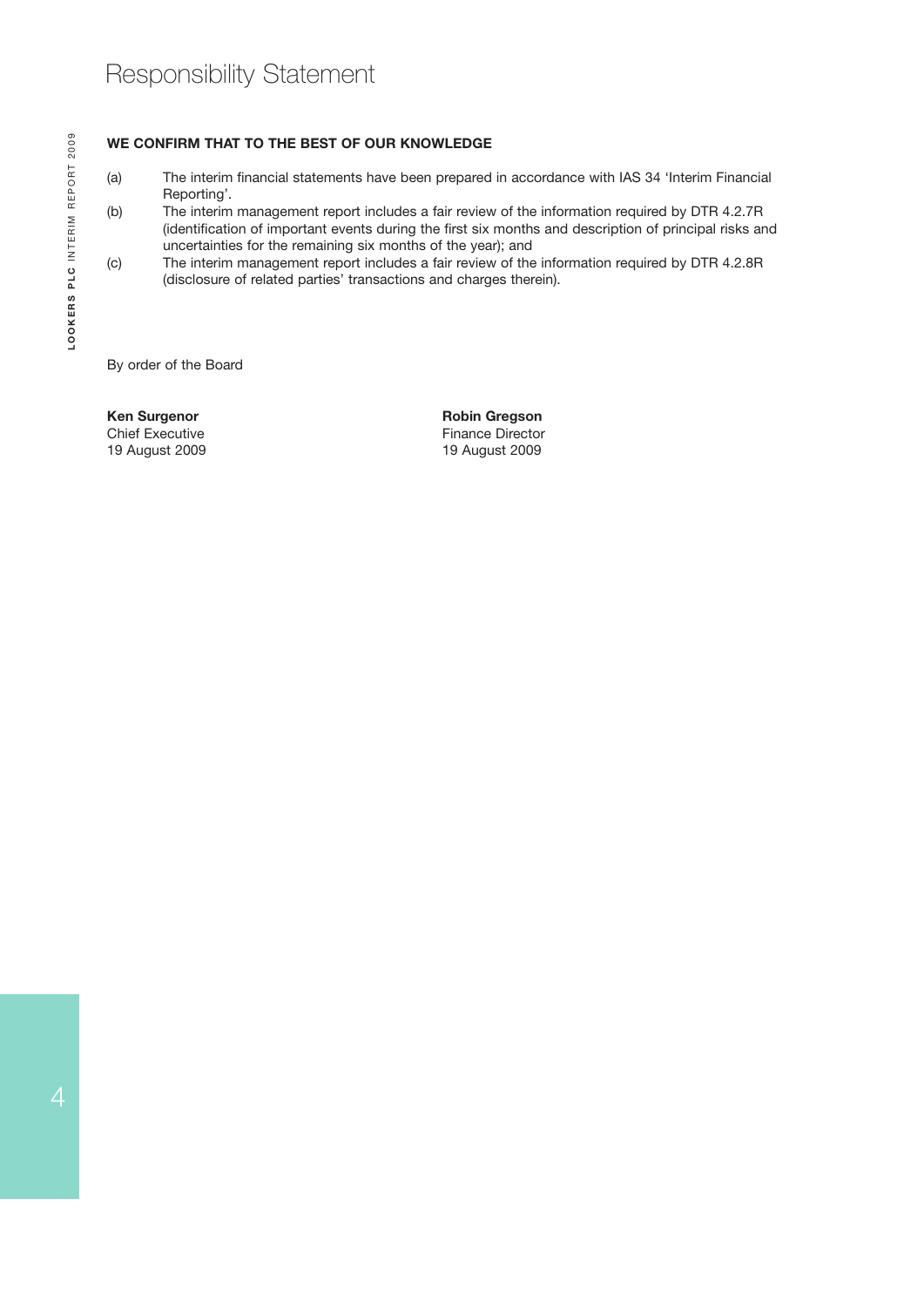#### **WE CONFIRM THAT TO THE BEST OF OUR KNOWLEDGE**

- (a) The interim financial statements have been prepared in accordance with IAS 34 'Interim Financial Reporting'.
- (b) The interim management report includes a fair review of the information required by DTR 4.2.7R (identification of important events during the first six months and description of principal risks and uncertainties for the remaining six months of the year); and
- (c) The interim management report includes a fair review of the information required by DTR 4.2.8R (disclosure of related parties' transactions and charges therein).

By order of the Board

19 August 2009 19 August 2009

**Ken Surgenor Chief Executive Contract Chief Executive Chief Executive Chief Executive Chief Executive Chief Executive Chief Executive Chief Executive Chief Executive Chief Executive Chief Executive Chief Executive Chief E** Finance Director<br>19 August 2009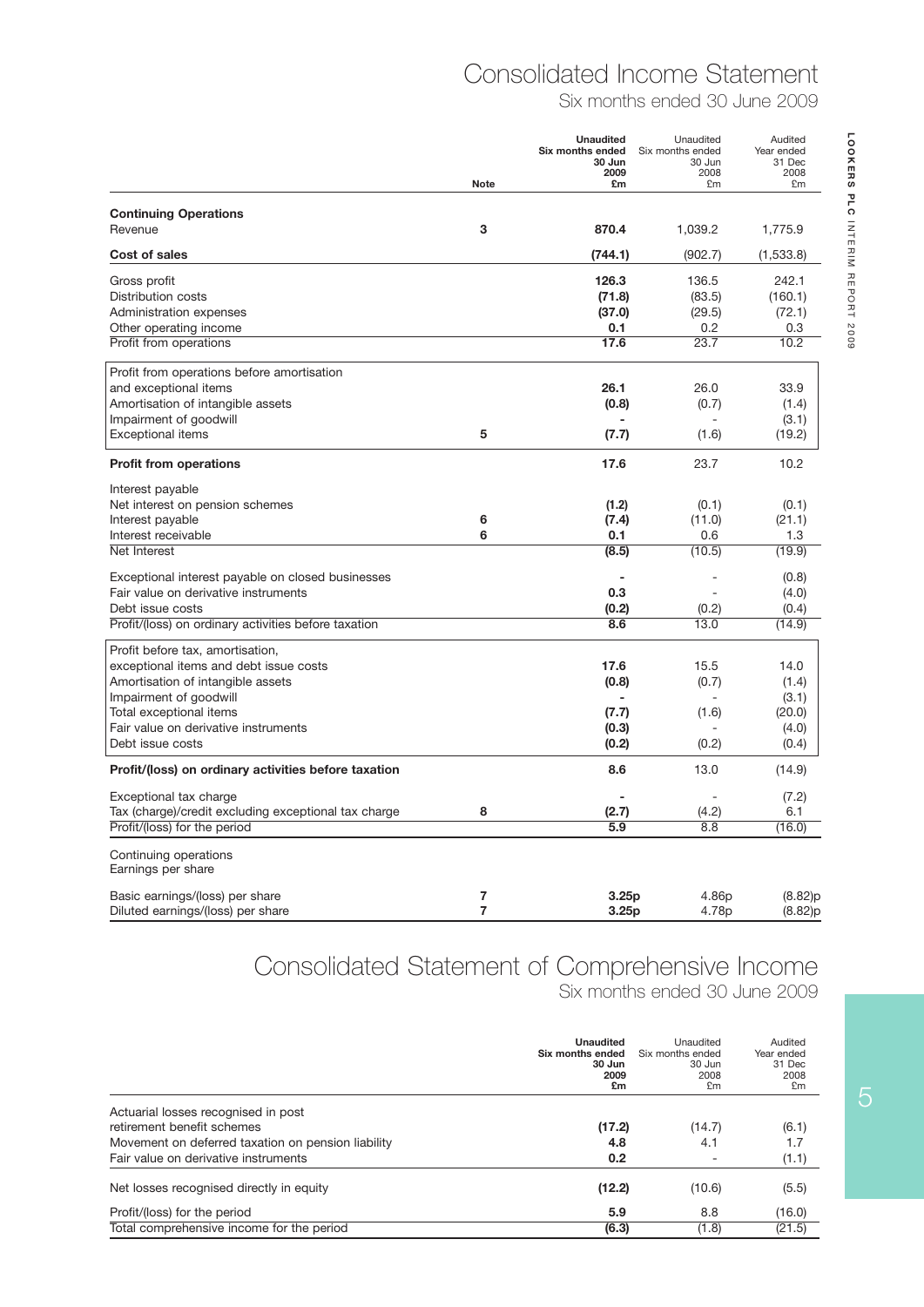## Consolidated Income Statement

Six months ended 30 June 2009

|                                                                 | <b>Note</b>    | <b>Unaudited</b><br>Six months ended<br>30 Jun<br>2009<br>£m | Unaudited<br>Six months ended<br>30 Jun<br>2008<br>£m | Audited<br>Year ended<br>31 Dec<br>2008<br>£m |
|-----------------------------------------------------------------|----------------|--------------------------------------------------------------|-------------------------------------------------------|-----------------------------------------------|
| <b>Continuing Operations</b>                                    |                |                                                              |                                                       |                                               |
| Revenue                                                         | 3              | 870.4                                                        | 1,039.2                                               | 1,775.9                                       |
| Cost of sales                                                   |                | (744.1)                                                      | (902.7)                                               | (1,533.8)                                     |
| Gross profit                                                    |                | 126.3                                                        | 136.5                                                 | 242.1                                         |
| Distribution costs                                              |                | (71.8)                                                       | (83.5)                                                | (160.1)                                       |
| Administration expenses                                         |                | (37.0)                                                       | (29.5)                                                | (72.1)                                        |
| Other operating income                                          |                | 0.1                                                          | 0.2                                                   | 0.3                                           |
| Profit from operations                                          |                | 17.6                                                         | 23.7                                                  | 10.2                                          |
| Profit from operations before amortisation                      |                |                                                              |                                                       |                                               |
| and exceptional items                                           |                | 26.1                                                         | 26.0                                                  | 33.9                                          |
| Amortisation of intangible assets                               |                | (0.8)                                                        | (0.7)                                                 | (1.4)                                         |
| Impairment of goodwill                                          |                |                                                              |                                                       | (3.1)                                         |
| <b>Exceptional items</b>                                        | 5              | (7.7)                                                        | (1.6)                                                 | (19.2)                                        |
| <b>Profit from operations</b>                                   |                | 17.6                                                         | 23.7                                                  | 10.2                                          |
| Interest payable                                                |                |                                                              |                                                       |                                               |
| Net interest on pension schemes                                 |                | (1.2)                                                        | (0.1)                                                 | (0.1)                                         |
| Interest payable                                                | 6              | (7.4)                                                        | (11.0)                                                | (21.1)                                        |
| Interest receivable                                             | 6              | 0.1                                                          | 0.6                                                   | 1.3                                           |
| Net Interest                                                    |                | (8.5)                                                        | (10.5)                                                | (19.9)                                        |
| Exceptional interest payable on closed businesses               |                |                                                              |                                                       | (0.8)                                         |
| Fair value on derivative instruments                            |                | 0.3                                                          | ä,                                                    | (4.0)                                         |
| Debt issue costs                                                |                | (0.2)                                                        | (0.2)                                                 | (0.4)                                         |
| Profit/(loss) on ordinary activities before taxation            |                | 8.6                                                          | 13.0                                                  | (14.9)                                        |
| Profit before tax, amortisation,                                |                |                                                              |                                                       |                                               |
| exceptional items and debt issue costs                          |                | 17.6                                                         | 15.5                                                  | 14.0                                          |
| Amortisation of intangible assets                               |                | (0.8)                                                        | (0.7)                                                 | (1.4)                                         |
| Impairment of goodwill                                          |                |                                                              |                                                       | (3.1)                                         |
| Total exceptional items<br>Fair value on derivative instruments |                | (7.7)                                                        | (1.6)                                                 | (20.0)                                        |
| Debt issue costs                                                |                | (0.3)<br>(0.2)                                               | (0.2)                                                 | (4.0)<br>(0.4)                                |
| Profit/(loss) on ordinary activities before taxation            |                | 8.6                                                          | 13.0                                                  | (14.9)                                        |
| Exceptional tax charge                                          |                |                                                              |                                                       | (7.2)                                         |
| Tax (charge)/credit excluding exceptional tax charge            | 8              | (2.7)                                                        | (4.2)                                                 | 6.1                                           |
| Profit/(loss) for the period                                    |                | 5.9                                                          | 8.8                                                   | (16.0)                                        |
| Continuing operations<br>Earnings per share                     |                |                                                              |                                                       |                                               |
| Basic earnings/(loss) per share                                 | 7              | 3.25p                                                        | 4.86p                                                 | (8.82)p                                       |
| Diluted earnings/(loss) per share                               | $\overline{7}$ | 3.25p                                                        | 4.78p                                                 | (8.82)p                                       |

## Consolidated Statement of Comprehensive Income

Six months ended 30 June 2009

|                                                    | <b>Unaudited</b><br>Six months ended<br>30 Jun<br>2009<br>£m | Unaudited<br>Six months ended<br>30 Jun<br>2008<br>£m | Audited<br>Year ended<br>31 Dec<br>2008<br>£m |
|----------------------------------------------------|--------------------------------------------------------------|-------------------------------------------------------|-----------------------------------------------|
| Actuarial losses recognised in post                |                                                              |                                                       |                                               |
| retirement benefit schemes                         | (17.2)                                                       | (14.7)                                                | (6.1)                                         |
| Movement on deferred taxation on pension liability | 4.8                                                          | 4.1                                                   | 1.7                                           |
| Fair value on derivative instruments               | 0.2                                                          |                                                       | (1.1)                                         |
| Net losses recognised directly in equity           | (12.2)                                                       | (10.6)                                                | (5.5)                                         |
| Profit/(loss) for the period                       | 5.9                                                          | 8.8                                                   | (16.0)                                        |
| Total comprehensive income for the period          | (6.3)                                                        | (1.8)                                                 | (21.5)                                        |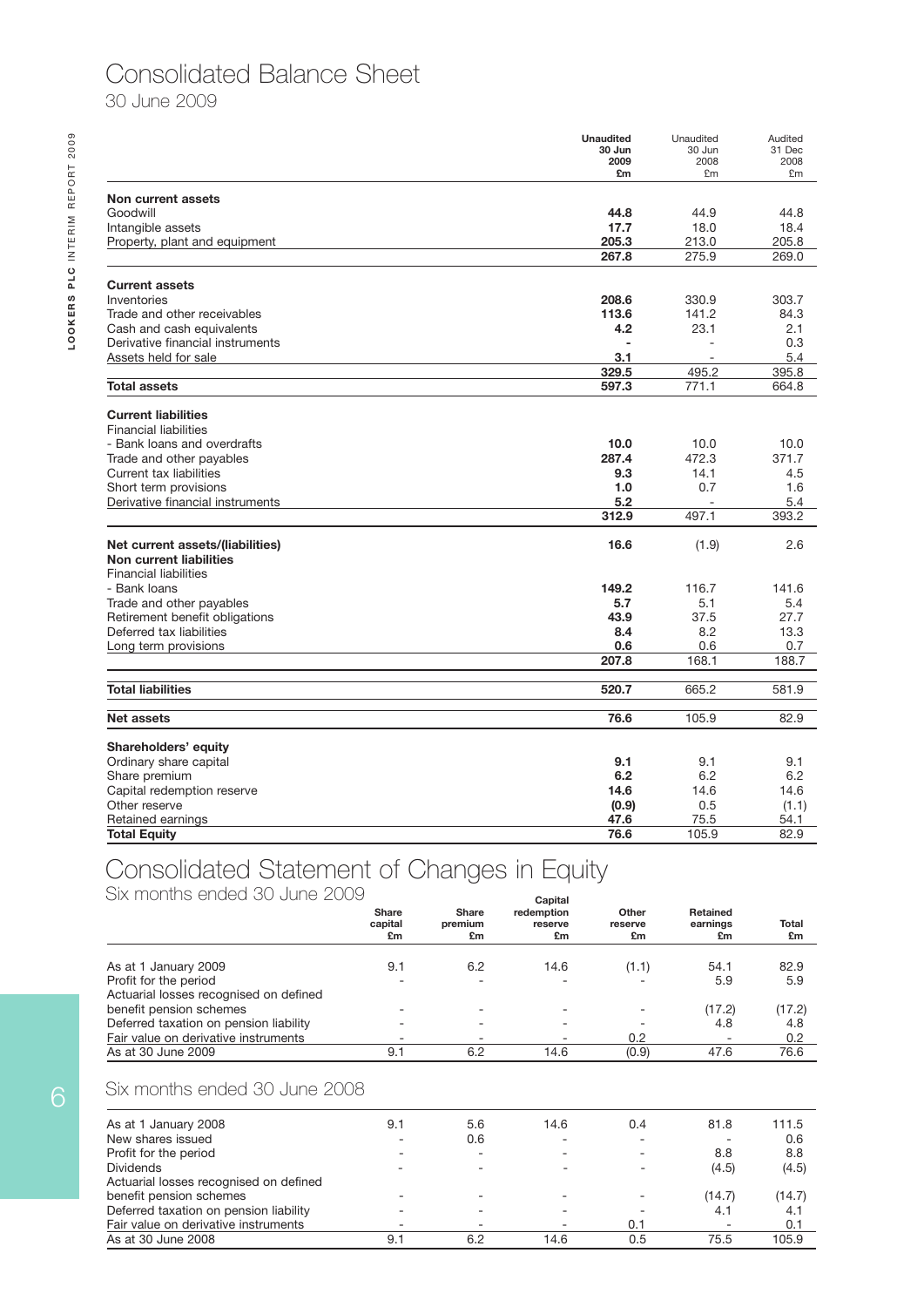### Consolidated Balance Sheet

30 June 2009

|                                                            | <b>Unaudited</b><br>30 Jun | Unaudited<br>30 Jun      | Audited<br>31 Dec |
|------------------------------------------------------------|----------------------------|--------------------------|-------------------|
|                                                            | 2009                       | 2008                     | 2008              |
|                                                            | £m                         | £m                       | £m                |
| Non current assets                                         |                            |                          |                   |
| Goodwill                                                   | 44.8                       | 44.9                     | 44.8              |
| Intangible assets                                          | 17.7                       | 18.0                     | 18.4              |
| Property, plant and equipment                              | 205.3                      | 213.0                    | 205.8             |
|                                                            | 267.8                      | 275.9                    | 269.0             |
| <b>Current assets</b>                                      |                            |                          |                   |
| Inventories                                                | 208.6                      | 330.9                    | 303.7             |
| Trade and other receivables                                | 113.6                      | 141.2                    | 84.3              |
| Cash and cash equivalents                                  | 4.2                        | 23.1                     | 2.1               |
| Derivative financial instruments                           |                            |                          | 0.3               |
| Assets held for sale                                       | 3.1                        | $\overline{\phantom{a}}$ | 5.4               |
|                                                            | 329.5                      | 495.2                    | 395.8             |
| <b>Total assets</b>                                        | 597.3                      | 771.1                    | 664.8             |
|                                                            |                            |                          |                   |
| <b>Current liabilities</b><br><b>Financial liabilities</b> |                            |                          |                   |
| - Bank loans and overdrafts                                | 10.0                       | 10.0                     | 10.0              |
|                                                            | 287.4                      | 472.3                    | 371.7             |
| Trade and other payables<br>Current tax liabilities        | 9.3                        | 14.1                     |                   |
|                                                            |                            |                          | 4.5               |
| Short term provisions                                      | 1.0                        | 0.7                      | 1.6               |
| Derivative financial instruments                           | 5.2<br>312.9               | 497.1                    | 5.4<br>393.2      |
|                                                            |                            |                          |                   |
| Net current assets/(liabilities)                           | 16.6                       | (1.9)                    | 2.6               |
| Non current liabilities                                    |                            |                          |                   |
| <b>Financial liabilities</b>                               |                            |                          |                   |
| - Bank loans                                               | 149.2                      | 116.7                    | 141.6             |
| Trade and other payables                                   | 5.7                        | 5.1                      | 5.4               |
| Retirement benefit obligations                             | 43.9                       | 37.5                     | 27.7              |
| Deferred tax liabilities                                   | 8.4                        | 8.2                      | 13.3              |
| Long term provisions                                       | 0.6                        | 0.6                      | 0.7               |
|                                                            | 207.8                      | 168.1                    | 188.7             |
| <b>Total liabilities</b>                                   | 520.7                      | 665.2                    | 581.9             |
|                                                            |                            |                          |                   |
| <b>Net assets</b>                                          | 76.6                       | 105.9                    | 82.9              |
| Shareholders' equity                                       |                            |                          |                   |
| Ordinary share capital                                     | 9.1                        | 9.1                      | 9.1               |
| Share premium                                              | 6.2                        | 6.2                      | 6.2               |
| Capital redemption reserve                                 | 14.6                       | 14.6                     | 14.6              |
| Other reserve                                              | (0.9)                      | 0.5                      | (1.1)             |
| Retained earnings                                          | 47.6                       | 75.5                     | 54.1              |
| <b>Total Equity</b>                                        | 76.6                       | 105.9                    | 82.9              |

### Consolidated Statement of Changes in Equity

Six months ended 30 June 2009

| A JIZA TETAJI ILI ILE AJI ILEALIJA EULU LULEITAJ ZELIJAJAJ | Share<br>capital<br>£m | <b>Share</b><br>premium<br>£m | Capital<br>redemption<br>reserve<br>£m | Other<br>reserve<br>£m | Retained<br>earnings<br>£m | <b>Total</b><br>£m |
|------------------------------------------------------------|------------------------|-------------------------------|----------------------------------------|------------------------|----------------------------|--------------------|
| As at 1 January 2009                                       | 9.1                    | 6.2                           | 14.6                                   | (1.1)                  | 54.1                       | 82.9               |
| Profit for the period                                      |                        |                               |                                        |                        | 5.9                        | 5.9                |
| Actuarial losses recognised on defined                     |                        |                               |                                        |                        |                            |                    |
| benefit pension schemes                                    |                        |                               |                                        |                        | (17.2)                     | (17.2)             |
| Deferred taxation on pension liability                     |                        |                               |                                        |                        | 4.8                        | 4.8                |
| Fair value on derivative instruments                       |                        |                               | ۰                                      | 0.2                    | $\qquad \qquad$            | 0.2                |
| As at 30 June 2009                                         | 9.1                    | 6.2                           | 14.6                                   | (0.9)                  | 47.6                       | 76.6               |

#### Six months ended 30 June 2008

| As at 1 January 2008                   | 9.1 | 5.6 | 14.6 | 0.4 | 81.8   | 111.5  |
|----------------------------------------|-----|-----|------|-----|--------|--------|
| New shares issued                      |     | 0.6 |      |     |        | 0.6    |
| Profit for the period                  |     | -   |      | ۰   | 8.8    | 8.8    |
| <b>Dividends</b>                       |     |     |      |     | (4.5)  | (4.5)  |
| Actuarial losses recognised on defined |     |     |      |     |        |        |
| benefit pension schemes                |     |     |      | -   | (14.7) | (14.7) |
| Deferred taxation on pension liability |     |     |      |     | 4.1    | 4.1    |
| Fair value on derivative instruments   |     |     | -    | 0.1 | ۰      | 0.1    |
| As at 30 June 2008                     | 9.1 | 6.2 | 14.6 | 0.5 | 75.5   | 105.9  |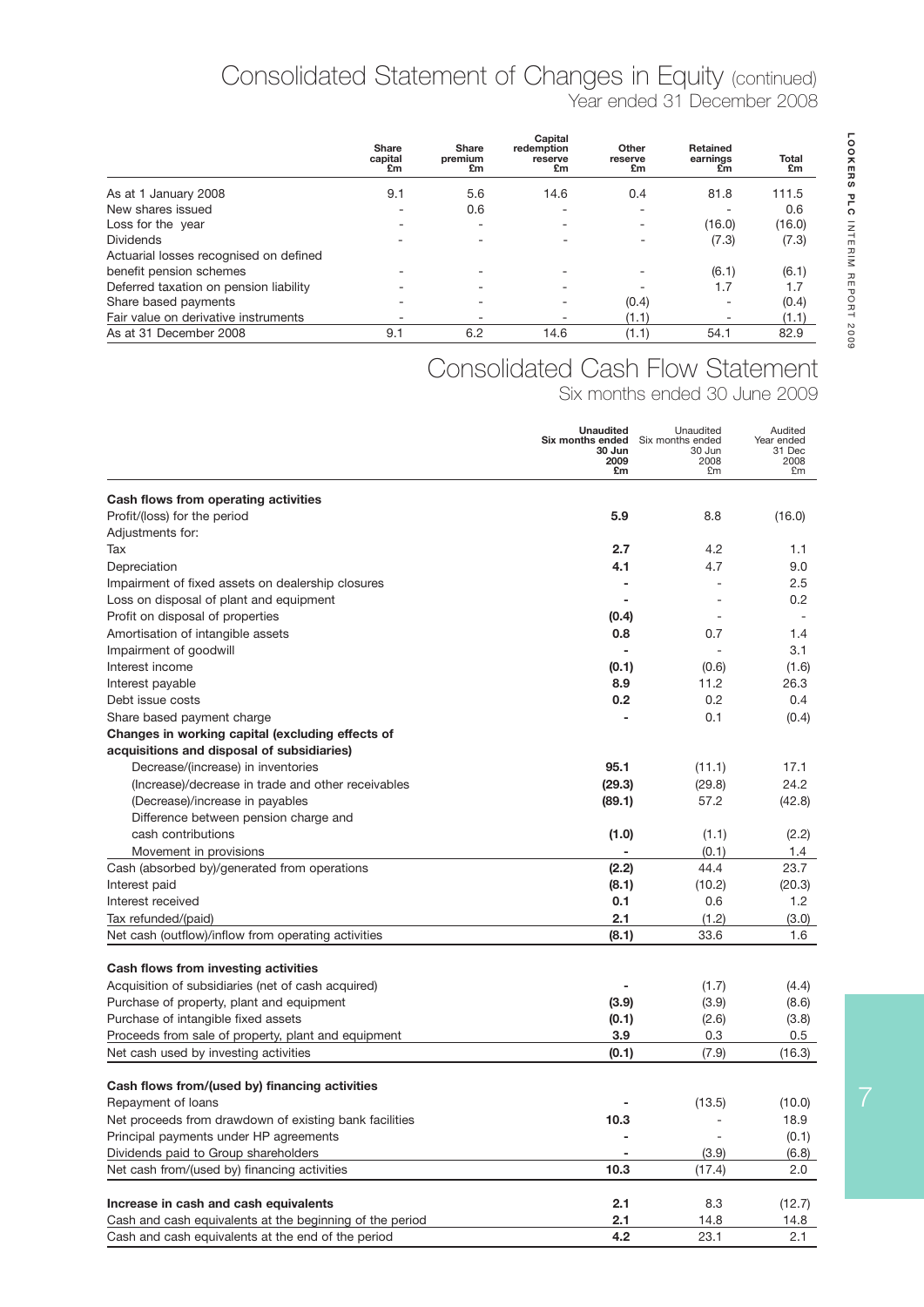### Year ended 31 December 2008 Consolidated Statement of Changes in Equity (continued)

|                                        | <b>Share</b><br>capital<br>£m | <b>Share</b><br>premium<br>£m | Capital<br>redemption<br>reserve<br>£m | Other<br>reserve<br>£m | Retained<br>earnings<br>£m | Total<br>£m |
|----------------------------------------|-------------------------------|-------------------------------|----------------------------------------|------------------------|----------------------------|-------------|
| As at 1 January 2008                   | 9.1                           | 5.6                           | 14.6                                   | 0.4                    | 81.8                       | 111.5       |
| New shares issued                      |                               | 0.6                           |                                        |                        |                            | 0.6         |
| Loss for the year                      |                               | -                             |                                        | ۰                      | (16.0)                     | (16.0)      |
| <b>Dividends</b>                       |                               |                               |                                        |                        | (7.3)                      | (7.3)       |
| Actuarial losses recognised on defined |                               |                               |                                        |                        |                            |             |
| benefit pension schemes                |                               |                               |                                        |                        | (6.1)                      | (6.1)       |
| Deferred taxation on pension liability |                               |                               |                                        |                        | 1.7                        | 1.7         |
| Share based payments                   |                               |                               |                                        | (0.4)                  |                            | (0.4)       |
| Fair value on derivative instruments   |                               |                               |                                        | (1.1)                  |                            | (1.1)       |
| As at 31 December 2008                 | 9.1                           | 6.2                           | 14.6                                   | (1.1)                  | 54.1                       | 82.9        |

### Consolidated Cash Flow Statement

Six months ended 30 June 2009

|                                                                                                   | <b>Unaudited</b><br><b>Six months ended</b> Six months ended<br>30 Jun<br>2009<br>£m | Unaudited<br>30 Jun<br>2008<br>£m | Audited<br>Year ended<br>31 Dec<br>2008<br>£m |
|---------------------------------------------------------------------------------------------------|--------------------------------------------------------------------------------------|-----------------------------------|-----------------------------------------------|
| Cash flows from operating activities                                                              |                                                                                      |                                   |                                               |
| Profit/(loss) for the period                                                                      | 5.9                                                                                  | 8.8                               | (16.0)                                        |
| Adjustments for:                                                                                  |                                                                                      |                                   |                                               |
| Tax                                                                                               | 2.7                                                                                  | 4.2                               | 1.1                                           |
| Depreciation                                                                                      | 4.1                                                                                  | 4.7                               | 9.0                                           |
| Impairment of fixed assets on dealership closures                                                 |                                                                                      |                                   | $2.5\,$                                       |
| Loss on disposal of plant and equipment                                                           |                                                                                      |                                   | $0.2\,$                                       |
| Profit on disposal of properties                                                                  | (0.4)                                                                                |                                   |                                               |
| Amortisation of intangible assets                                                                 | 0.8                                                                                  | 0.7                               | 1.4                                           |
| Impairment of goodwill                                                                            | $\overline{\phantom{0}}$                                                             |                                   | 3.1                                           |
| Interest income                                                                                   | (0.1)                                                                                | (0.6)                             | (1.6)                                         |
| Interest payable                                                                                  | 8.9                                                                                  | 11.2                              | 26.3                                          |
| Debt issue costs                                                                                  | 0.2                                                                                  | 0.2                               | 0.4                                           |
| Share based payment charge                                                                        |                                                                                      | 0.1                               | (0.4)                                         |
| Changes in working capital (excluding effects of                                                  |                                                                                      |                                   |                                               |
| acquisitions and disposal of subsidiaries)                                                        |                                                                                      |                                   |                                               |
| Decrease/(increase) in inventories                                                                | 95.1                                                                                 | (11.1)                            | 17.1                                          |
| (Increase)/decrease in trade and other receivables                                                | (29.3)                                                                               | (29.8)                            | 24.2                                          |
| (Decrease)/increase in payables                                                                   | (89.1)                                                                               | 57.2                              | (42.8)                                        |
| Difference between pension charge and                                                             |                                                                                      |                                   |                                               |
| cash contributions                                                                                | (1.0)                                                                                | (1.1)                             | (2.2)                                         |
| Movement in provisions                                                                            |                                                                                      | (0.1)                             | 1.4                                           |
| Cash (absorbed by)/generated from operations                                                      | (2.2)                                                                                | 44.4                              | 23.7                                          |
| Interest paid                                                                                     | (8.1)                                                                                | (10.2)                            | (20.3)                                        |
| Interest received                                                                                 | 0.1                                                                                  | 0.6                               | 1.2                                           |
| Tax refunded/(paid)                                                                               | 2.1                                                                                  | (1.2)                             | (3.0)                                         |
| Net cash (outflow)/inflow from operating activities                                               | (8.1)                                                                                | 33.6                              | 1.6                                           |
| Cash flows from investing activities                                                              |                                                                                      |                                   |                                               |
| Acquisition of subsidiaries (net of cash acquired)                                                |                                                                                      | (1.7)                             | (4.4)                                         |
| Purchase of property, plant and equipment                                                         | (3.9)                                                                                | (3.9)                             | (8.6)                                         |
| Purchase of intangible fixed assets                                                               | (0.1)                                                                                | (2.6)                             | (3.8)                                         |
| Proceeds from sale of property, plant and equipment                                               | 3.9                                                                                  | 0.3                               | 0.5                                           |
| Net cash used by investing activities                                                             | (0.1)                                                                                | (7.9)                             | (16.3)                                        |
|                                                                                                   |                                                                                      |                                   |                                               |
| Cash flows from/(used by) financing activities                                                    |                                                                                      |                                   |                                               |
| Repayment of loans                                                                                |                                                                                      | (13.5)                            | (10.0)                                        |
| Net proceeds from drawdown of existing bank facilities                                            | 10.3                                                                                 |                                   | 18.9                                          |
| Principal payments under HP agreements                                                            |                                                                                      | $\overline{\phantom{a}}$          | (0.1)                                         |
| Dividends paid to Group shareholders                                                              | -                                                                                    | (3.9)                             | (6.8)                                         |
| Net cash from/(used by) financing activities                                                      | 10.3                                                                                 | (17.4)                            | 2.0                                           |
|                                                                                                   | 2.1                                                                                  | 8.3                               |                                               |
| Increase in cash and cash equivalents<br>Cash and cash equivalents at the beginning of the period | 2.1                                                                                  | 14.8                              | (12.7)<br>14.8                                |
| Cash and cash equivalents at the end of the period                                                | 4.2                                                                                  | 23.1                              | 2.1                                           |
|                                                                                                   |                                                                                      |                                   |                                               |

7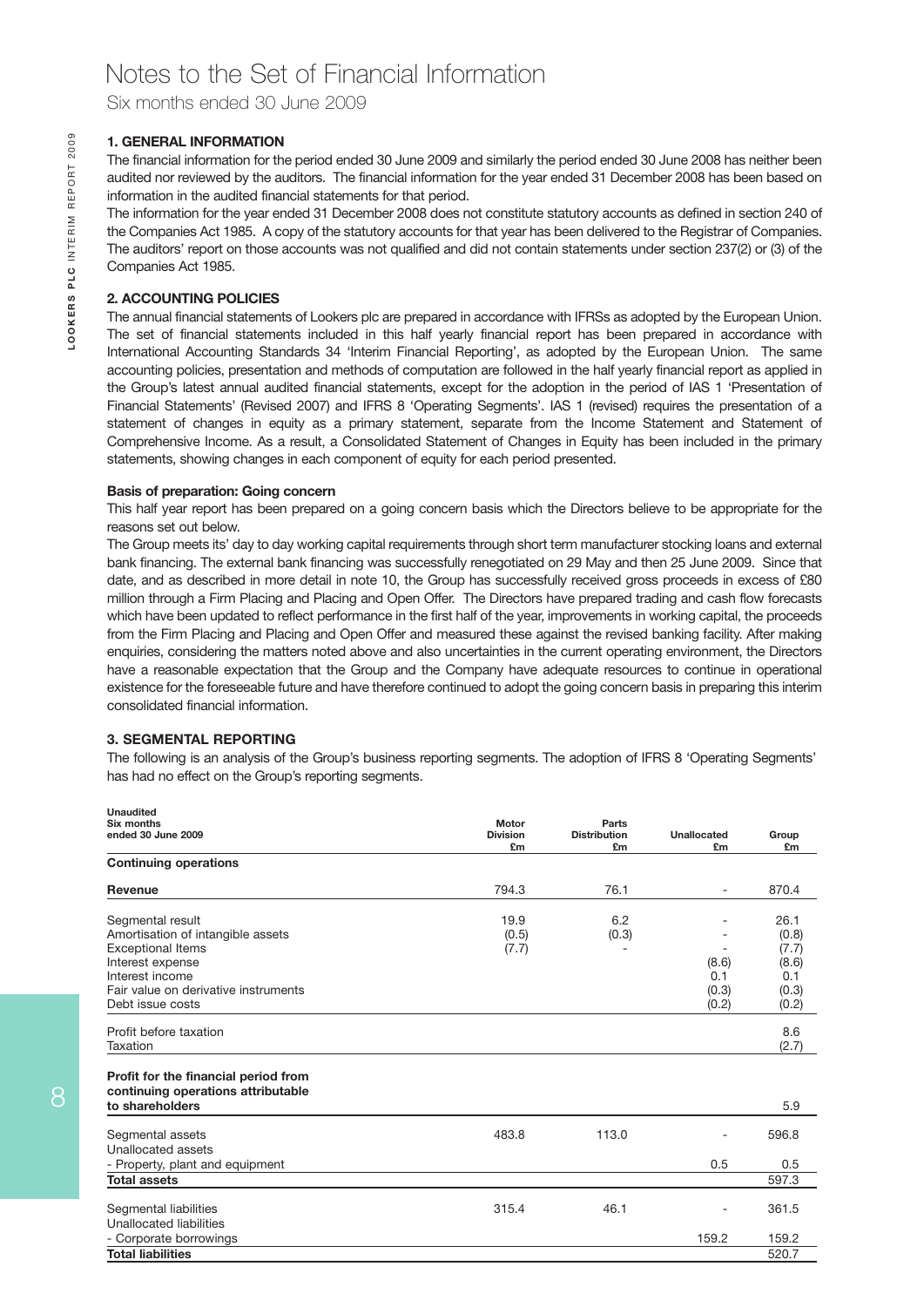Six months ended 30 June 2009

#### **1. GENERAL INFORMATION**

The financial information for the period ended 30 June 2009 and similarly the period ended 30 June 2008 has neither been audited nor reviewed by the auditors. The financial information for the year ended 31 December 2008 has been based on information in the audited financial statements for that period.

The information for the year ended 31 December 2008 does not constitute statutory accounts as defined in section 240 of the Companies Act 1985. A copy of the statutory accounts for that year has been delivered to the Registrar of Companies. The auditors' report on those accounts was not qualified and did not contain statements under section 237(2) or (3) of the Companies Act 1985.

#### **2. ACCOUNTING POLICIES**

The annual financial statements of Lookers plc are prepared in accordance with IFRSs as adopted by the European Union. The set of financial statements included in this half yearly financial report has been prepared in accordance with International Accounting Standards 34 'Interim Financial Reporting', as adopted by the European Union. The same accounting policies, presentation and methods of computation are followed in the half yearly financial report as applied in the Group's latest annual audited financial statements, except for the adoption in the period of IAS 1 'Presentation of Financial Statements' (Revised 2007) and IFRS 8 'Operating Segments'. IAS 1 (revised) requires the presentation of a statement of changes in equity as a primary statement, separate from the Income Statement and Statement of Comprehensive Income. As a result, a Consolidated Statement of Changes in Equity has been included in the primary statements, showing changes in each component of equity for each period presented.

#### **Basis of preparation: Going concern**

This half year report has been prepared on a going concern basis which the Directors believe to be appropriate for the reasons set out below.

The Group meets its' day to day working capital requirements through short term manufacturer stocking loans and external bank financing. The external bank financing was successfully renegotiated on 29 May and then 25 June 2009. Since that date, and as described in more detail in note 10, the Group has successfully received gross proceeds in excess of £80 million through a Firm Placing and Placing and Open Offer. The Directors have prepared trading and cash flow forecasts which have been updated to reflect performance in the first half of the year, improvements in working capital, the proceeds from the Firm Placing and Placing and Open Offer and measured these against the revised banking facility. After making enquiries, considering the matters noted above and also uncertainties in the current operating environment, the Directors have a reasonable expectation that the Group and the Company have adequate resources to continue in operational existence for the foreseeable future and have therefore continued to adopt the going concern basis in preparing this interim consolidated financial information.

#### **3. SEGMENTAL REPORTING**

The following is an analysis of the Group's business reporting segments. The adoption of IFRS 8 'Operating Segments' has had no effect on the Group's reporting segments.

| <b>Unaudited</b>                     |                       |                           |                   |             |
|--------------------------------------|-----------------------|---------------------------|-------------------|-------------|
| Six months                           | Motor                 | Parts                     |                   |             |
| ended 30 June 2009                   | <b>Division</b><br>£m | <b>Distribution</b><br>£m | Unallocated<br>£m | Group<br>£m |
| <b>Continuing operations</b>         |                       |                           |                   |             |
| <b>Revenue</b>                       | 794.3                 | 76.1                      | ۰                 | 870.4       |
| Segmental result                     | 19.9                  | 6.2                       |                   | 26.1        |
| Amortisation of intangible assets    | (0.5)                 | (0.3)                     |                   | (0.8)       |
| <b>Exceptional Items</b>             | (7.7)                 |                           | -                 | (7.7)       |
| Interest expense                     |                       |                           | (8.6)             | (8.6)       |
| Interest income                      |                       |                           | 0.1               | 0.1         |
| Fair value on derivative instruments |                       |                           | (0.3)             | (0.3)       |
| Debt issue costs                     |                       |                           | (0.2)             | (0.2)       |
| Profit before taxation               |                       |                           |                   | 8.6         |
| Taxation                             |                       |                           |                   | (2.7)       |
|                                      |                       |                           |                   |             |
| Profit for the financial period from |                       |                           |                   |             |
| continuing operations attributable   |                       |                           |                   |             |
| to shareholders                      |                       |                           |                   | 5.9         |
| Segmental assets                     | 483.8                 | 113.0                     |                   | 596.8       |
| Unallocated assets                   |                       |                           |                   |             |
| - Property, plant and equipment      |                       |                           | 0.5               | 0.5         |
| <b>Total assets</b>                  |                       |                           |                   | 597.3       |
|                                      |                       |                           |                   |             |
| Segmental liabilities                | 315.4                 | 46.1                      |                   | 361.5       |
| Unallocated liabilities              |                       |                           |                   |             |
| - Corporate borrowings               |                       |                           | 159.2             | 159.2       |
| <b>Total liabilities</b>             |                       |                           |                   | 520.7       |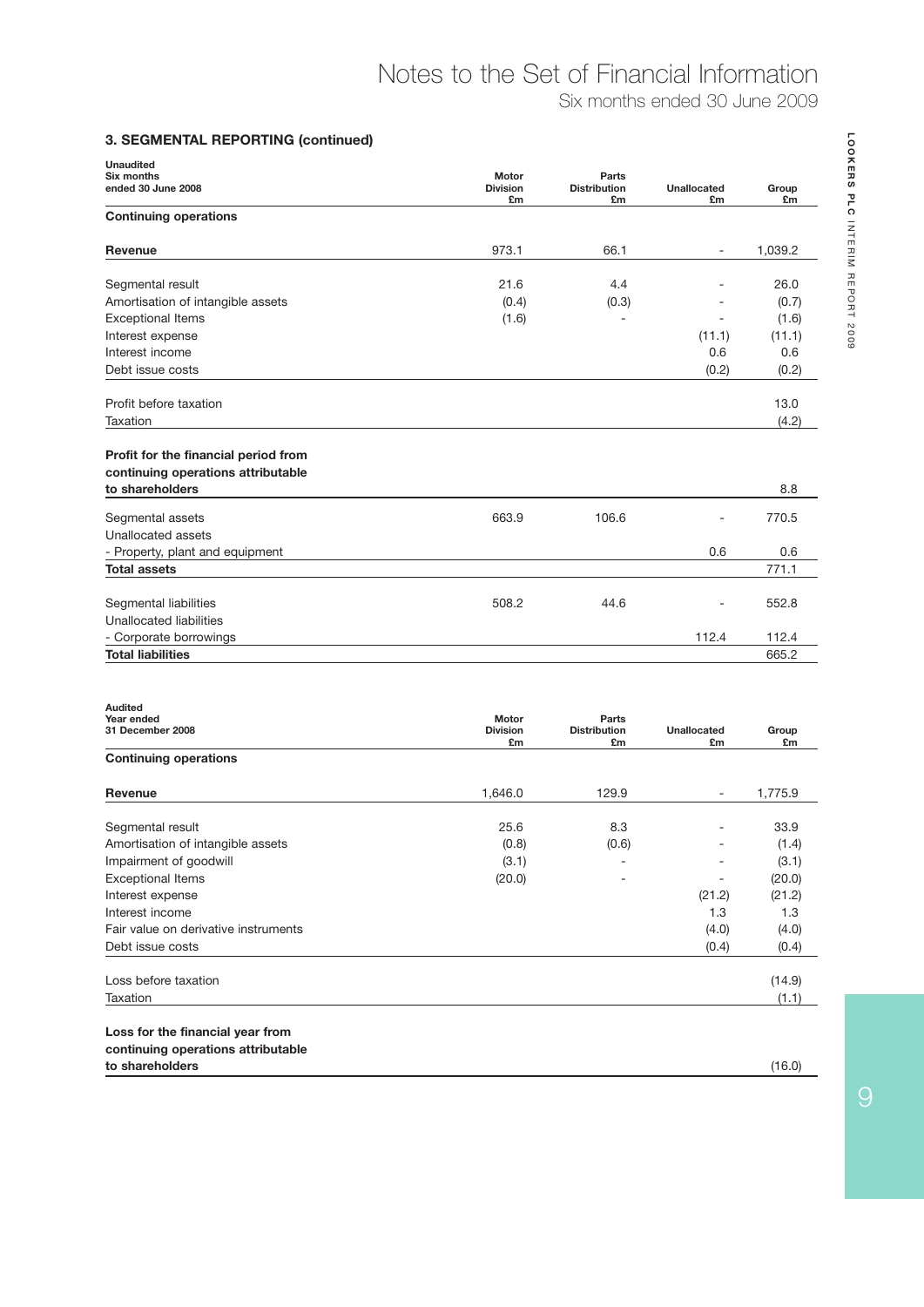## Notes to the Set of Financial Information

Six months ended 30 June 2009

#### **3. SEGMENTAL REPORTING (continued)**

| <b>Unaudited</b><br>Six months                                                                | Motor                 | Parts                     |                          |             |
|-----------------------------------------------------------------------------------------------|-----------------------|---------------------------|--------------------------|-------------|
| ended 30 June 2008                                                                            | <b>Division</b><br>£m | <b>Distribution</b><br>£m | <b>Unallocated</b><br>£m | Group<br>£m |
| <b>Continuing operations</b>                                                                  |                       |                           |                          |             |
| Revenue                                                                                       | 973.1                 | 66.1                      | $\overline{\phantom{a}}$ | 1,039.2     |
| Segmental result                                                                              | 21.6                  | 4.4                       |                          | 26.0        |
| Amortisation of intangible assets                                                             | (0.4)                 | (0.3)                     |                          | (0.7)       |
| <b>Exceptional Items</b>                                                                      | (1.6)                 |                           | $\overline{\phantom{a}}$ | (1.6)       |
| Interest expense                                                                              |                       |                           | (11.1)                   | (11.1)      |
| Interest income                                                                               |                       |                           | 0.6                      | 0.6         |
| Debt issue costs                                                                              |                       |                           | (0.2)                    | (0.2)       |
| Profit before taxation                                                                        |                       |                           |                          | 13.0        |
|                                                                                               |                       |                           |                          | (4.2)       |
| Taxation                                                                                      |                       |                           |                          |             |
|                                                                                               |                       |                           |                          |             |
|                                                                                               |                       |                           |                          |             |
| Profit for the financial period from<br>continuing operations attributable<br>to shareholders |                       |                           |                          | 8.8         |
| Segmental assets                                                                              | 663.9                 | 106.6                     |                          | 770.5       |
| Unallocated assets                                                                            |                       |                           |                          |             |
| - Property, plant and equipment                                                               |                       |                           | 0.6                      | 0.6         |
| <b>Total assets</b>                                                                           |                       |                           |                          | 771.1       |
|                                                                                               | 508.2                 | 44.6                      |                          | 552.8       |
| Unallocated liabilities                                                                       |                       |                           |                          |             |
| Segmental liabilities<br>- Corporate borrowings                                               |                       |                           | 112.4                    | 112.4       |

| Year ended<br>31 December 2008       | <b>Motor</b><br><b>Division</b><br>£m | Parts<br><b>Distribution</b><br>£m | <b>Unallocated</b><br>£m | Group<br>£m |
|--------------------------------------|---------------------------------------|------------------------------------|--------------------------|-------------|
| <b>Continuing operations</b>         |                                       |                                    |                          |             |
| Revenue                              | 1,646.0                               | 129.9                              |                          | 1,775.9     |
| Segmental result                     | 25.6                                  | 8.3                                |                          | 33.9        |
| Amortisation of intangible assets    | (0.8)                                 | (0.6)                              |                          | (1.4)       |
| Impairment of goodwill               | (3.1)                                 |                                    |                          | (3.1)       |
| <b>Exceptional Items</b>             | (20.0)                                |                                    |                          | (20.0)      |
| Interest expense                     |                                       |                                    | (21.2)                   | (21.2)      |
| Interest income                      |                                       |                                    | 1.3                      | 1.3         |
| Fair value on derivative instruments |                                       |                                    | (4.0)                    | (4.0)       |
| Debt issue costs                     |                                       |                                    | (0.4)                    | (0.4)       |
| Loss before taxation                 |                                       |                                    |                          | (14.9)      |
| Taxation                             |                                       |                                    |                          | (1.1)       |
| Loss for the financial year from     |                                       |                                    |                          |             |
| continuing operations attributable   |                                       |                                    |                          |             |
| to shareholders                      |                                       |                                    |                          | (16.0)      |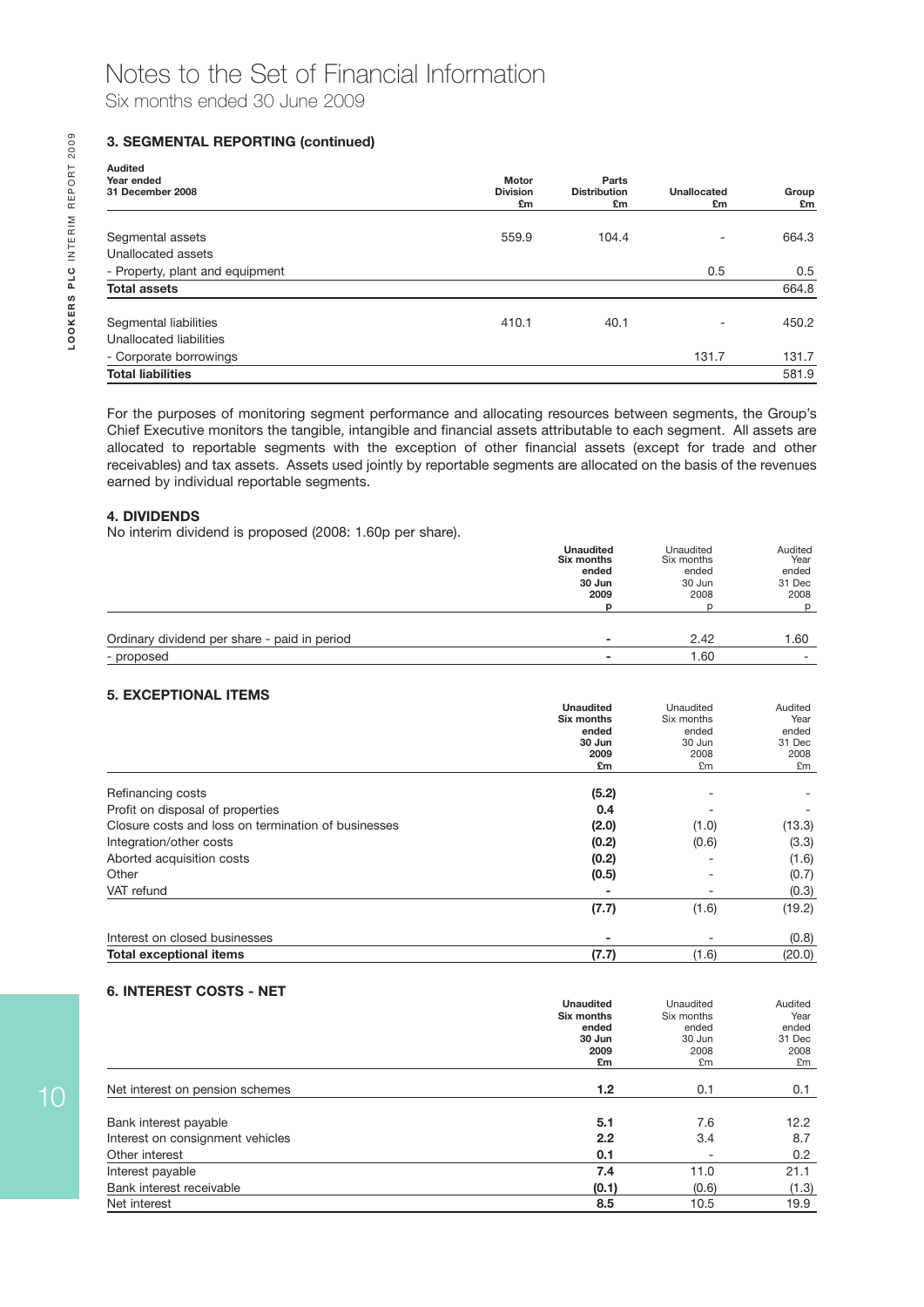#### **3. SEGMENTAL REPORTING (continued)**

| <b>Audited</b>                  |                       |                           |                   |             |
|---------------------------------|-----------------------|---------------------------|-------------------|-------------|
| Year ended                      | <b>Motor</b>          | Parts                     |                   |             |
| 31 December 2008                | <b>Division</b><br>£m | <b>Distribution</b><br>£m | Unallocated<br>£m | Group<br>£m |
| Segmental assets                | 559.9                 | 104.4                     |                   | 664.3       |
| Unallocated assets              |                       |                           |                   |             |
| - Property, plant and equipment |                       |                           | 0.5               | 0.5         |
| <b>Total assets</b>             |                       |                           |                   | 664.8       |
| Segmental liabilities           | 410.1                 | 40.1                      |                   | 450.2       |
| Unallocated liabilities         |                       |                           |                   |             |
| - Corporate borrowings          |                       |                           | 131.7             | 131.7       |
| <b>Total liabilities</b>        |                       |                           |                   | 581.9       |

For the purposes of monitoring segment performance and allocating resources between segments, the Group's Chief Executive monitors the tangible, intangible and financial assets attributable to each segment. All assets are allocated to reportable segments with the exception of other financial assets (except for trade and other receivables) and tax assets. Assets used jointly by reportable segments are allocated on the basis of the revenues earned by individual reportable segments.

#### **4. DIVIDENDS**

No interim dividend is proposed (2008: 1.60p per share).

|                                              | <b>Unaudited</b><br>Six months | Unaudited<br>Six months | Audited<br>Year |
|----------------------------------------------|--------------------------------|-------------------------|-----------------|
|                                              | ended                          | ended                   | ended           |
|                                              | 30 Jun                         | 30 Jun                  | 31 Dec          |
|                                              | 2009                           | 2008                    | 2008            |
|                                              |                                |                         | D               |
|                                              |                                |                         |                 |
| Ordinary dividend per share - paid in period | -                              | 2.42                    | 1.60            |
| - proposed                                   |                                | 1.60                    | ۰               |

#### **5. EXCEPTIONAL ITEMS**

|                                                     | <b>Unaudited</b> | Unaudited  | Audited |
|-----------------------------------------------------|------------------|------------|---------|
|                                                     | Six months       | Six months | Year    |
|                                                     | ended            | ended      | ended   |
|                                                     | 30 Jun           | 30 Jun     | 31 Dec  |
|                                                     | 2009             | 2008       | 2008    |
|                                                     | £m               | £m         | £m      |
| Refinancing costs                                   | (5.2)            |            |         |
| Profit on disposal of properties                    | 0.4              |            |         |
| Closure costs and loss on termination of businesses | (2.0)            | (1.0)      | (13.3)  |
| Integration/other costs                             | (0.2)            | (0.6)      | (3.3)   |
| Aborted acquisition costs                           | (0.2)            |            | (1.6)   |
| Other                                               | (0.5)            |            | (0.7)   |
| VAT refund                                          |                  |            | (0.3)   |
|                                                     | (7.7)            | (1.6)      | (19.2)  |
| Interest on closed businesses                       |                  |            | (0.8)   |
| <b>Total exceptional items</b>                      | (7.7)            | (1.6)      | (20.0)  |

#### **6. INTEREST COSTS - NET**

|                                  | <b>Unaudited</b> | Unaudited  | Audited |
|----------------------------------|------------------|------------|---------|
|                                  | Six months       | Six months | Year    |
|                                  | ended            | ended      | ended   |
|                                  | 30 Jun           | 30 Jun     | 31 Dec  |
|                                  | 2009             | 2008       | 2008    |
|                                  | £m               | £m         | £m      |
|                                  |                  |            |         |
| Net interest on pension schemes  | 1.2              | 0.1        | 0.1     |
|                                  |                  |            |         |
| Bank interest payable            | 5.1              | 7.6        | 12.2    |
| Interest on consignment vehicles | 2.2              | 3.4        | 8.7     |
| Other interest                   | 0.1              |            | 0.2     |
| Interest payable                 | 7.4              | 11.0       | 21.1    |
| Bank interest receivable         | (0.1)            | (0.6)      | (1.3)   |
| Net interest                     | 8.5              | 10.5       | 19.9    |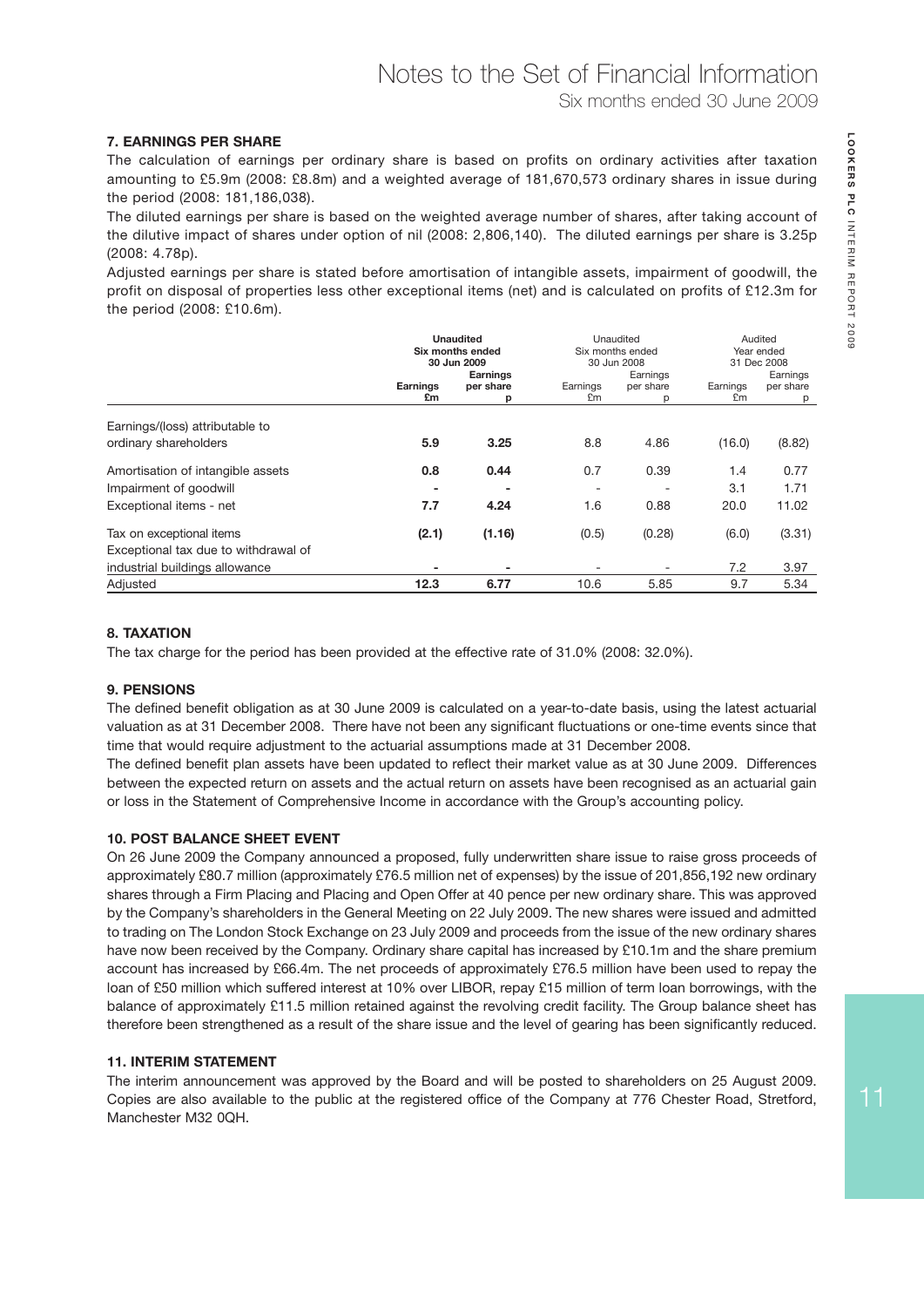#### **7. EARNINGS PER SHARE**

The calculation of earnings per ordinary share is based on profits on ordinary activities after taxation amounting to £5.9m (2008: £8.8m) and a weighted average of 181,670,573 ordinary shares in issue during the period (2008: 181,186,038).

The diluted earnings per share is based on the weighted average number of shares, after taking account of the dilutive impact of shares under option of nil (2008: 2,806,140). The diluted earnings per share is 3.25p (2008: 4.78p).

Adjusted earnings per share is stated before amortisation of intangible assets, impairment of goodwill, the profit on disposal of properties less other exceptional items (net) and is calculated on profits of £12.3m for the period (2008: £10.6m).

|                                      |                                                 | <b>Unaudited</b><br>Six months ended<br>30 Jun 2009 |                                   | Unaudited<br>Six months ended<br>30 Jun 2008 |                                   | Audited<br>Year ended<br>31 Dec 2008 |
|--------------------------------------|-------------------------------------------------|-----------------------------------------------------|-----------------------------------|----------------------------------------------|-----------------------------------|--------------------------------------|
|                                      | <b>Earnings</b><br><b>Earnings</b><br>per share |                                                     | Earnings<br>Earnings<br>per share |                                              | Earnings<br>Earnings<br>per share |                                      |
|                                      | £m                                              | р                                                   | £m                                |                                              | £m                                | p                                    |
| Earnings/(loss) attributable to      |                                                 |                                                     |                                   |                                              |                                   |                                      |
| ordinary shareholders                | 5.9                                             | 3.25                                                | 8.8                               | 4.86                                         | (16.0)                            | (8.82)                               |
| Amortisation of intangible assets    | 0.8                                             | 0.44                                                | 0.7                               | 0.39                                         | 1.4                               | 0.77                                 |
| Impairment of goodwill               |                                                 | $\overline{\phantom{a}}$                            |                                   |                                              | 3.1                               | 1.71                                 |
| Exceptional items - net              | 7.7                                             | 4.24                                                | 1.6                               | 0.88                                         | 20.0                              | 11.02                                |
| Tax on exceptional items             | (2.1)                                           | (1.16)                                              | (0.5)                             | (0.28)                                       | (6.0)                             | (3.31)                               |
| Exceptional tax due to withdrawal of |                                                 |                                                     |                                   |                                              |                                   |                                      |
| industrial buildings allowance       |                                                 |                                                     |                                   |                                              | 7.2                               | 3.97                                 |
| Adjusted                             | 12.3                                            | 6.77                                                | 10.6                              | 5.85                                         | 9.7                               | 5.34                                 |

#### **8. TAXATION**

The tax charge for the period has been provided at the effective rate of 31.0% (2008: 32.0%).

#### **9. PENSIONS**

The defined benefit obligation as at 30 June 2009 is calculated on a year-to-date basis, using the latest actuarial valuation as at 31 December 2008. There have not been any significant fluctuations or one-time events since that time that would require adjustment to the actuarial assumptions made at 31 December 2008.

The defined benefit plan assets have been updated to reflect their market value as at 30 June 2009. Differences between the expected return on assets and the actual return on assets have been recognised as an actuarial gain or loss in the Statement of Comprehensive Income in accordance with the Group's accounting policy.

#### **10. POST BALANCE SHEET EVENT**

On 26 June 2009 the Company announced a proposed, fully underwritten share issue to raise gross proceeds of approximately £80.7 million (approximately £76.5 million net of expenses) by the issue of 201,856,192 new ordinary shares through a Firm Placing and Placing and Open Offer at 40 pence per new ordinary share. This was approved by the Company's shareholders in the General Meeting on 22 July 2009. The new shares were issued and admitted to trading on The London Stock Exchange on 23 July 2009 and proceeds from the issue of the new ordinary shares have now been received by the Company. Ordinary share capital has increased by £10.1m and the share premium account has increased by £66.4m. The net proceeds of approximately £76.5 million have been used to repay the loan of £50 million which suffered interest at 10% over LIBOR, repay £15 million of term loan borrowings, with the balance of approximately £11.5 million retained against the revolving credit facility. The Group balance sheet has therefore been strengthened as a result of the share issue and the level of gearing has been significantly reduced.

#### **11. INTERIM STATEMENT**

The interim announcement was approved by the Board and will be posted to shareholders on 25 August 2009. Copies are also available to the public at the registered office of the Company at 776 Chester Road, Stretford, Manchester M32 0QH.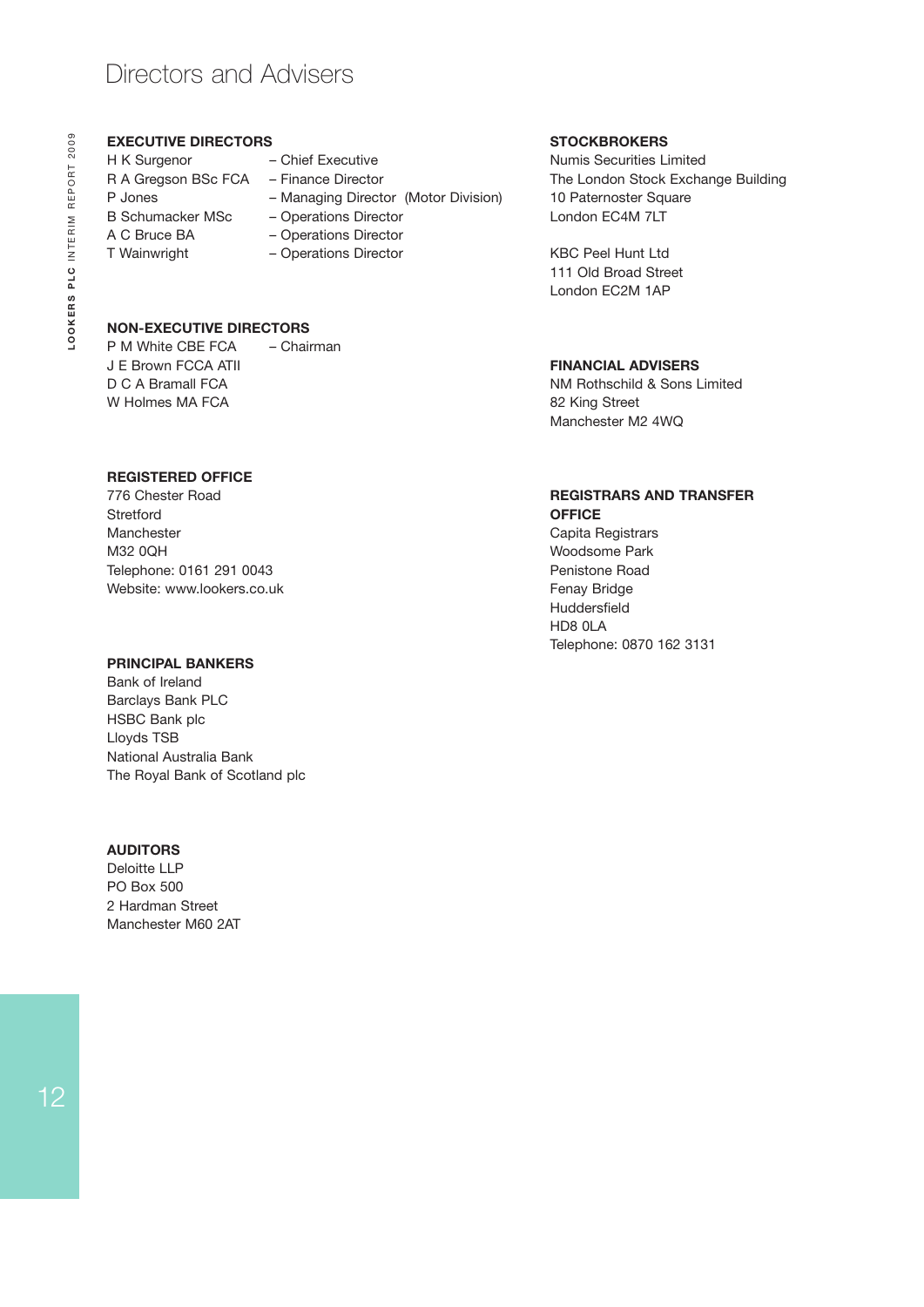### Directors and Advisers

#### **EXECUTIVE DIRECTORS**

H K Surgenor – Chief Executive R A Gregson BSc FCA – Finance Director P Jones – Managing Director (Motor Division) B Schumacker MSc – Operations Director A C Bruce BA – Operations Director T Wainwright – Operations Director

- 
- 
- 
- 
- 
- 
- 

#### **NON-EXECUTIVE DIRECTORS**

P M White CBE FCA – Chairman J E Brown FCCA ATII D C A Bramall FCA W Holmes MA FCA

#### **REGISTERED OFFICE**

776 Chester Road **Stretford** Manchester M32 0QH Telephone: 0161 291 0043 Website: www.lookers.co.uk

#### **PRINCIPAL BANKERS**

Bank of Ireland Barclays Bank PLC HSBC Bank plc Lloyds TSB National Australia Bank The Royal Bank of Scotland plc

#### **AUDITORS**

Deloitte LLP PO Box 500 2 Hardman Street Manchester M60 2AT

#### **STOCKBROKERS**

Numis Securities Limited The London Stock Exchange Building 10 Paternoster Square London EC4M 7LT

KBC Peel Hunt Ltd 111 Old Broad Street London EC2M 1AP

#### **FINANCIAL ADVISERS**

NM Rothschild & Sons Limited 82 King Street Manchester M2 4WQ

#### **REGISTRARS AND TRANSFER OFFICE**

Capita Registrars Woodsome Park Penistone Road Fenay Bridge Huddersfield HD8 0LA Telephone: 0870 162 3131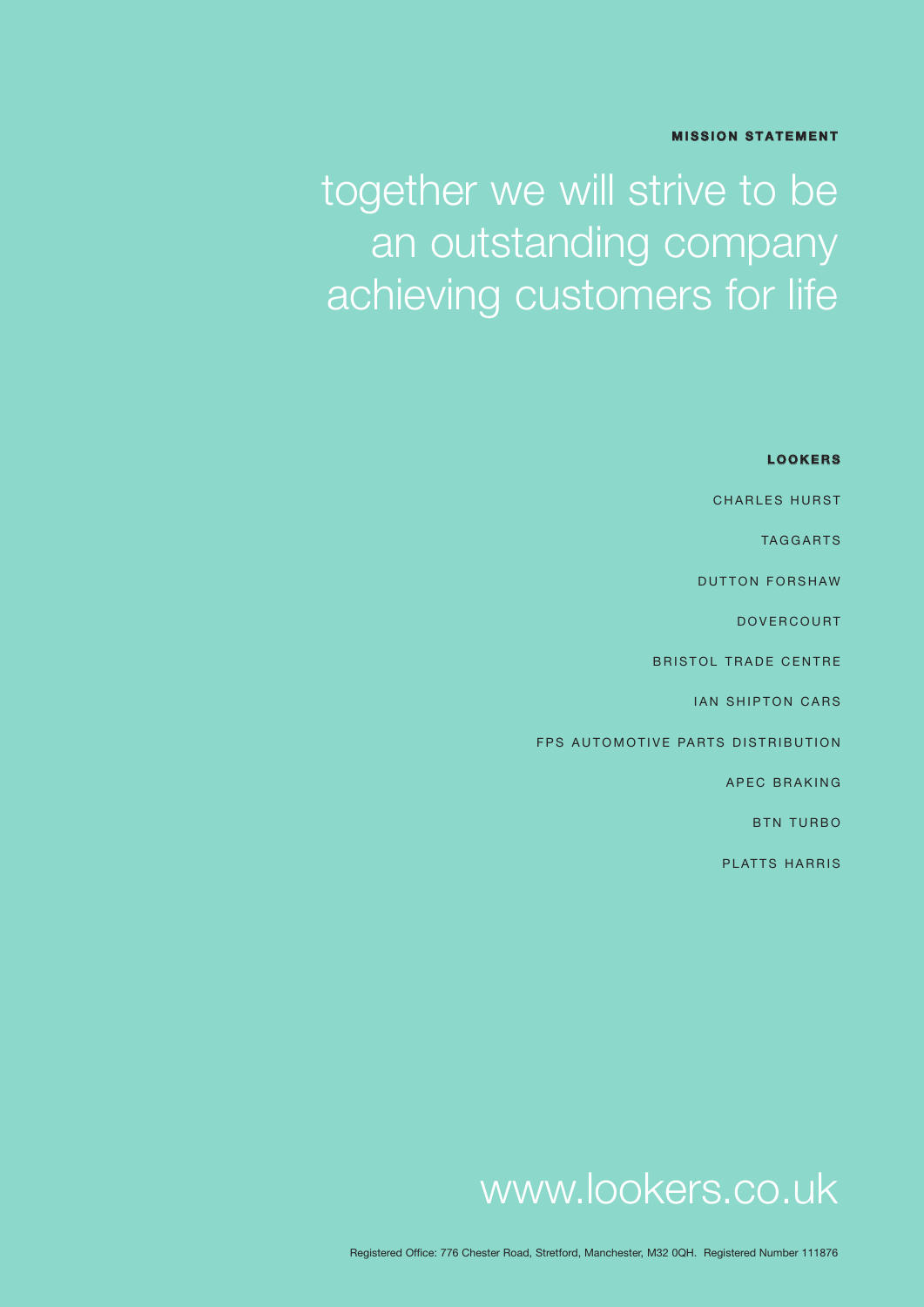#### **MISSION STATEMENT**

# together we will strive to be an outstanding company achieving customers for life

| <b>LOOKERS</b>                    |
|-----------------------------------|
| <b>CHARLES HURST</b>              |
| <b>TAGGARTS</b>                   |
| <b>DUTTON FORSHAW</b>             |
| <b>DOVERCOURT</b>                 |
| <b>BRISTOL TRADE CENTRE</b>       |
| <b>IAN SHIPTON CARS</b>           |
| FPS AUTOMOTIVE PARTS DISTRIBUTION |
| <b>APEC BRAKING</b>               |
| <b>BTN TURBO</b>                  |
| <b>PLATTS HARRIS</b>              |

## www.lookers.co.uk

Registered Office: 776 Chester Road, Stretford, Manchester, M32 0QH. Registered Number 111876